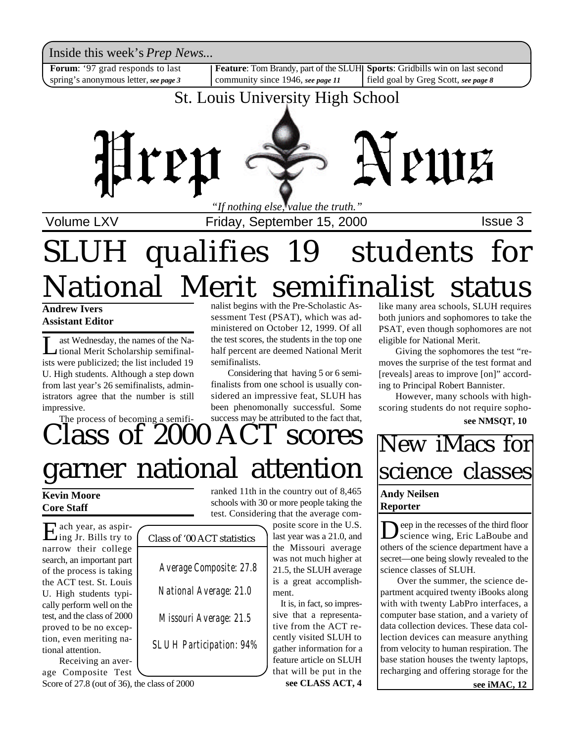Inside this week's *Prep News*...

**Forum**: '97 grad responds to last spring's anonymous letter, *see page 3*

**Feature**: Tom Brandy, part of the SLUH **Sports**: Gridbills win on last second community since 1946, *see page 11*

field goal by Greg Scott, *see page 8*

## St. Louis University High School



Volume LXV **Interpretent Automate 3** Friday, September 15, 2000

# SLUH qualifies 19 students for National Merit semifinalist status

**Andrew Ivers Assistant Editor**

L ast Wednesday, the names of the National Merit Scholarship semifinalists were publicized; the list included 19 U. High students. Although a step down from last year's 26 semifinalists, administrators agree that the number is still impressive.

The process of becoming a semifi-

nalist begins with the Pre-Scholastic Assessment Test (PSAT), which was administered on October 12, 1999. Of all the test scores, the students in the top one half percent are deemed National Merit semifinalists.

Considering that having 5 or 6 semifinalists from one school is usually considered an impressive feat, SLUH has been phenomonally successful. Some success may be attributed to the fact that,

# lass of 2000 ACT scores garner national attention

**Kevin Moore Core Staff**

Each year, as aspir-<br>Ling Jr. Bills try to ach year, as aspirnarrow their college search, an important part of the process is taking the ACT test. St. Louis U. High students typically perform well on the test, and the class of 2000 proved to be no exception, even meriting national attention.

Receiving an average Composite Test Score of 27.8 (out of 36), the class of 2000

Class of '00 ACT statistics  *Average Composite: 27.8 National Average: 21.0 Missouri Average: 21.5 SLUH Participation: 94%*

ranked 11th in the country out of 8,465 schools with 30 or more people taking the test. Considering that the average com-

posite score in the U.S. last year was a 21.0, and the Missouri average was not much higher at 21.5, the SLUH average is a great accomplishment.

 It is, in fact, so impressive that a representative from the ACT recently visited SLUH to gather information for a feature article on SLUH that will be put in the

**see CLASS ACT, 4**

like many area schools, SLUH requires both juniors and sophomores to take the PSAT, even though sophomores are not eligible for National Merit.

Giving the sophomores the test "removes the surprise of the test format and [reveals] areas to improve [on]" according to Principal Robert Bannister.

However, many schools with highscoring students do not require sopho**see NMSQT, 10**

## New iMacs for science classes

#### **Andy Neilsen Reporter**

Deep in the recesses of the third floor<br>science wing, Eric LaBoube and<br>others of the science department have a eep in the recesses of the third floor science wing, Eric LaBoube and secret—one being slowly revealed to the science classes of SLUH.

Over the summer, the science department acquired twenty iBooks along with with twenty LabPro interfaces, a computer base station, and a variety of data collection devices. These data collection devices can measure anything from velocity to human respiration. The base station houses the twenty laptops, recharging and offering storage for the

**see iMAC, 12**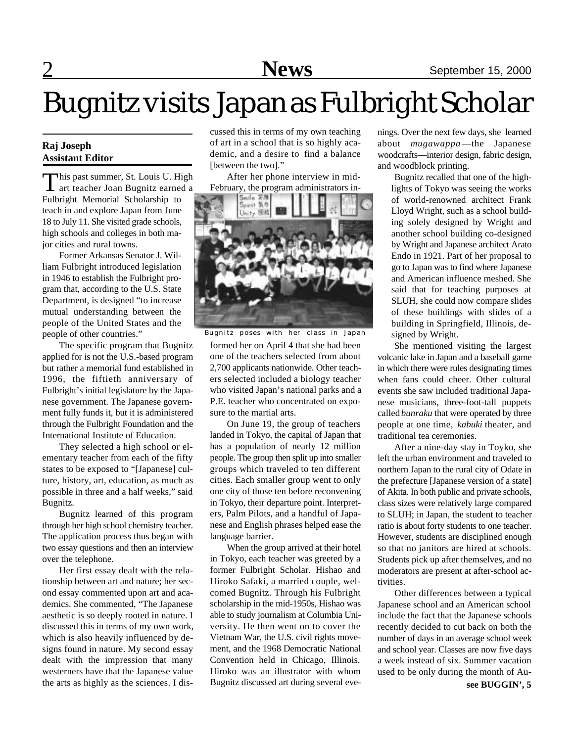# Bugnitz visits Japan as Fulbright Scholar

#### **Raj Joseph Assistant Editor**

This past summer, St. Louis U. High<br>
art teacher Joan Bugnitz earned a art teacher Joan Bugnitz earned a Fulbright Memorial Scholarship to teach in and explore Japan from June 18 to July 11. She visited grade schools, high schools and colleges in both major cities and rural towns.

Former Arkansas Senator J. William Fulbright introduced legislation in 1946 to establish the Fulbright program that, according to the U.S. State Department, is designed "to increase mutual understanding between the people of the United States and the people of other countries."

The specific program that Bugnitz applied for is not the U.S.-based program but rather a memorial fund established in 1996, the fiftieth anniversary of Fulbright's initial legislature by the Japanese government. The Japanese government fully funds it, but it is administered through the Fulbright Foundation and the International Institute of Education.

They selected a high school or elementary teacher from each of the fifty states to be exposed to "[Japanese] culture, history, art, education, as much as possible in three and a half weeks," said Bugnitz.

Bugnitz learned of this program through her high school chemistry teacher. The application process thus began with two essay questions and then an interview over the telephone.

Her first essay dealt with the relationship between art and nature; her second essay commented upon art and academics. She commented, "The Japanese aesthetic is so deeply rooted in nature. I discussed this in terms of my own work, which is also heavily influenced by designs found in nature. My second essay dealt with the impression that many westerners have that the Japanese value the arts as highly as the sciences. I discussed this in terms of my own teaching of art in a school that is so highly academic, and a desire to find a balance [between the two]."

After her phone interview in mid-



formed her on April 4 that she had been one of the teachers selected from about 2,700 applicants nationwide. Other teachers selected included a biology teacher who visited Japan's national parks and a P.E. teacher who concentrated on exposure to the martial arts. Bugnitz poses with her class in Japan

On June 19, the group of teachers landed in Tokyo, the capital of Japan that has a population of nearly 12 million people. The group then split up into smaller groups which traveled to ten different cities. Each smaller group went to only one city of those ten before reconvening in Tokyo, their departure point. Interpreters, Palm Pilots, and a handful of Japanese and English phrases helped ease the language barrier.

When the group arrived at their hotel in Tokyo, each teacher was greeted by a former Fulbright Scholar. Hishao and Hiroko Safaki, a married couple, welcomed Bugnitz. Through his Fulbright scholarship in the mid-1950s, Hishao was able to study journalism at Columbia University. He then went on to cover the Vietnam War, the U.S. civil rights movement, and the 1968 Democratic National Convention held in Chicago, Illinois. Hiroko was an illustrator with whom Bugnitz discussed art during several evenings. Over the next few days, she learned about *mugawappa*—the Japanese woodcrafts—interior design, fabric design, and woodblock printing.

Bugnitz recalled that one of the highlights of Tokyo was seeing the works of world-renowned architect Frank Lloyd Wright, such as a school building solely designed by Wright and another school building co-designed by Wright and Japanese architect Arato Endo in 1921. Part of her proposal to go to Japan was to find where Japanese and American influence meshed. She said that for teaching purposes at SLUH, she could now compare slides of these buildings with slides of a building in Springfield, Illinois, designed by Wright.

She mentioned visiting the largest volcanic lake in Japan and a baseball game in which there were rules designating times when fans could cheer. Other cultural events she saw included traditional Japanese musicians, three-foot-tall puppets called *bunraku* that were operated by three people at one time, *kabuki* theater, and traditional tea ceremonies.

After a nine-day stay in Toyko, she left the urban environment and traveled to northern Japan to the rural city of Odate in the prefecture [Japanese version of a state] of Akita. In both public and private schools, class sizes were relatively large compared to SLUH; in Japan, the student to teacher ratio is about forty students to one teacher. However, students are disciplined enough so that no janitors are hired at schools. Students pick up after themselves, and no moderators are present at after-school activities.

Other differences between a typical Japanese school and an American school include the fact that the Japanese schools recently decided to cut back on both the number of days in an average school week and school year. Classes are now five days a week instead of six. Summer vacation used to be only during the month of Au**see BUGGIN', 5**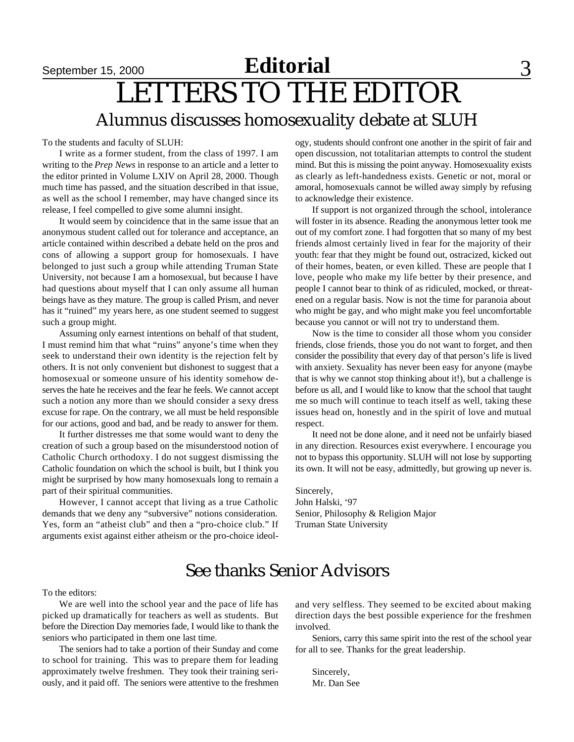## September 15, 2000 **Editorial** 3 LETTERS TO THE EDITOR Alumnus discusses homosexuality debate at SLUH

To the students and faculty of SLUH:

I write as a former student, from the class of 1997. I am writing to the *Prep News* in response to an article and a letter to the editor printed in Volume LXIV on April 28, 2000. Though much time has passed, and the situation described in that issue, as well as the school I remember, may have changed since its release, I feel compelled to give some alumni insight.

It would seem by coincidence that in the same issue that an anonymous student called out for tolerance and acceptance, an article contained within described a debate held on the pros and cons of allowing a support group for homosexuals. I have belonged to just such a group while attending Truman State University, not because I am a homosexual, but because I have had questions about myself that I can only assume all human beings have as they mature. The group is called Prism, and never has it "ruined" my years here, as one student seemed to suggest such a group might.

Assuming only earnest intentions on behalf of that student, I must remind him that what "ruins" anyone's time when they seek to understand their own identity is the rejection felt by others. It is not only convenient but dishonest to suggest that a homosexual or someone unsure of his identity somehow deserves the hate he receives and the fear he feels. We cannot accept such a notion any more than we should consider a sexy dress excuse for rape. On the contrary, we all must be held responsible for our actions, good and bad, and be ready to answer for them.

It further distresses me that some would want to deny the creation of such a group based on the misunderstood notion of Catholic Church orthodoxy. I do not suggest dismissing the Catholic foundation on which the school is built, but I think you might be surprised by how many homosexuals long to remain a part of their spiritual communities.

However, I cannot accept that living as a true Catholic demands that we deny any "subversive" notions consideration. Yes, form an "atheist club" and then a "pro-choice club." If arguments exist against either atheism or the pro-choice ideology, students should confront one another in the spirit of fair and open discussion, not totalitarian attempts to control the student mind. But this is missing the point anyway. Homosexuality exists as clearly as left-handedness exists. Genetic or not, moral or amoral, homosexuals cannot be willed away simply by refusing to acknowledge their existence.

If support is not organized through the school, intolerance will foster in its absence. Reading the anonymous letter took me out of my comfort zone. I had forgotten that so many of my best friends almost certainly lived in fear for the majority of their youth: fear that they might be found out, ostracized, kicked out of their homes, beaten, or even killed. These are people that I love, people who make my life better by their presence, and people I cannot bear to think of as ridiculed, mocked, or threatened on a regular basis. Now is not the time for paranoia about who might be gay, and who might make you feel uncomfortable because you cannot or will not try to understand them.

Now is the time to consider all those whom you consider friends, close friends, those you do not want to forget, and then consider the possibility that every day of that person's life is lived with anxiety. Sexuality has never been easy for anyone (maybe that is why we cannot stop thinking about it!), but a challenge is before us all, and I would like to know that the school that taught me so much will continue to teach itself as well, taking these issues head on, honestly and in the spirit of love and mutual respect.

It need not be done alone, and it need not be unfairly biased in any direction. Resources exist everywhere. I encourage you not to bypass this opportunity. SLUH will not lose by supporting its own. It will not be easy, admittedly, but growing up never is.

Sincerely, John Halski, '97 Senior, Philosophy & Religion Major Truman State University

### See thanks Senior Advisors

To the editors:

We are well into the school year and the pace of life has picked up dramatically for teachers as well as students. But before the Direction Day memories fade, I would like to thank the seniors who participated in them one last time.

The seniors had to take a portion of their Sunday and come to school for training. This was to prepare them for leading approximately twelve freshmen. They took their training seriously, and it paid off. The seniors were attentive to the freshmen and very selfless. They seemed to be excited about making direction days the best possible experience for the freshmen involved.

Seniors, carry this same spirit into the rest of the school year for all to see. Thanks for the great leadership.

Sincerely, Mr. Dan See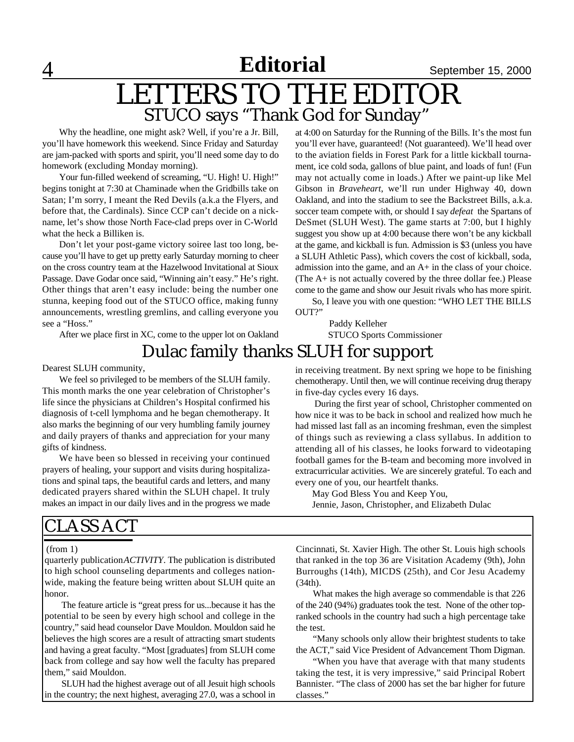**Editorial**

4 **News** September 15, 2000

## LETTERS TO THE EDITOR STUCO says "Thank God for Sunday"

Why the headline, one might ask? Well, if you're a Jr. Bill, you'll have homework this weekend. Since Friday and Saturday are jam-packed with sports and spirit, you'll need some day to do homework (excluding Monday morning).

Your fun-filled weekend of screaming, "U. High! U. High!" begins tonight at 7:30 at Chaminade when the Gridbills take on Satan; I'm sorry, I meant the Red Devils (a.k.a the Flyers, and before that, the Cardinals). Since CCP can't decide on a nickname, let's show those North Face-clad preps over in C-World what the heck a Billiken is.

Don't let your post-game victory soiree last too long, because you'll have to get up pretty early Saturday morning to cheer on the cross country team at the Hazelwood Invitational at Sioux Passage. Dave Godar once said, "Winning ain't easy." He's right. Other things that aren't easy include: being the number one stunna, keeping food out of the STUCO office, making funny announcements, wrestling gremlins, and calling everyone you see a "Hoss."

After we place first in XC, come to the upper lot on Oakland

### Dulac family thanks SLUH for support

Dearest SLUH community,

We feel so privileged to be members of the SLUH family. This month marks the one year celebration of Christopher's life since the physicians at Children's Hospital confirmed his diagnosis of t-cell lymphoma and he began chemotherapy. It also marks the beginning of our very humbling family journey and daily prayers of thanks and appreciation for your many gifts of kindness.

We have been so blessed in receiving your continued prayers of healing, your support and visits during hospitalizations and spinal taps, the beautiful cards and letters, and many dedicated prayers shared within the SLUH chapel. It truly makes an impact in our daily lives and in the progress we made

## CLASS ACT

#### (from 1)

quarterly publication *ACTIVITY*. The publication is distributed to high school counseling departments and colleges nationwide, making the feature being written about SLUH quite an honor.

The feature article is "great press for us...because it has the potential to be seen by every high school and college in the country," said head counselor Dave Mouldon. Mouldon said he believes the high scores are a result of attracting smart students and having a great faculty. "Most [graduates] from SLUH come back from college and say how well the faculty has prepared them," said Mouldon.

SLUH had the highest average out of all Jesuit high schools in the country; the next highest, averaging 27.0, was a school in at 4:00 on Saturday for the Running of the Bills. It's the most fun you'll ever have, guaranteed! (Not guaranteed). We'll head over to the aviation fields in Forest Park for a little kickball tournament, ice cold soda, gallons of blue paint, and loads of fun! (Fun may not actually come in loads.) After we paint-up like Mel Gibson in *Braveheart*, we'll run under Highway 40, down Oakland, and into the stadium to see the Backstreet Bills, a.k.a. soccer team compete with, or should I say *defeat* the Spartans of DeSmet (SLUH West). The game starts at 7:00, but I highly suggest you show up at 4:00 because there won't be any kickball at the game, and kickball is fun. Admission is \$3 (unless you have a SLUH Athletic Pass), which covers the cost of kickball, soda, admission into the game, and an A+ in the class of your choice. (The A+ is not actually covered by the three dollar fee.) Please come to the game and show our Jesuit rivals who has more spirit.

So, I leave you with one question: "WHO LET THE BILLS OUT?"

> Paddy Kelleher STUCO Sports Commissioner

in receiving treatment. By next spring we hope to be finishing chemotherapy. Until then, we will continue receiving drug therapy in five-day cycles every 16 days.

 During the first year of school, Christopher commented on how nice it was to be back in school and realized how much he had missed last fall as an incoming freshman, even the simplest of things such as reviewing a class syllabus. In addition to attending all of his classes, he looks forward to videotaping football games for the B-team and becoming more involved in extracurricular activities. We are sincerely grateful. To each and every one of you, our heartfelt thanks.

May God Bless You and Keep You, Jennie, Jason, Christopher, and Elizabeth Dulac

Cincinnati, St. Xavier High. The other St. Louis high schools that ranked in the top 36 are Visitation Academy (9th), John Burroughs (14th), MICDS (25th), and Cor Jesu Academy (34th).

What makes the high average so commendable is that 226 of the 240 (94%) graduates took the test. None of the other topranked schools in the country had such a high percentage take the test.

"Many schools only allow their brightest students to take the ACT," said Vice President of Advancement Thom Digman.

"When you have that average with that many students taking the test, it is very impressive," said Principal Robert Bannister. "The class of 2000 has set the bar higher for future classes."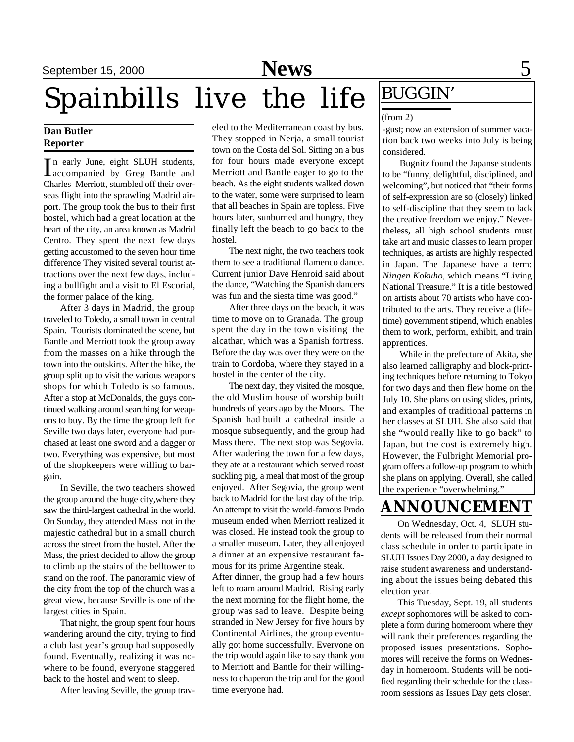## September 15, 2000 **News** 5

# Spainbills live the life  $\frac{\text{BUGGIN}'}{\text{BUGGIN}}$

#### **Dan Butler Reporter**

In early June, eight SLUH students,<br>accompanied by Greg Bantle and n early June, eight SLUH students, Charles Merriott, stumbled off their overseas flight into the sprawling Madrid airport. The group took the bus to their first hostel, which had a great location at the heart of the city, an area known as Madrid Centro. They spent the next few days getting accustomed to the seven hour time difference They visited several tourist attractions over the next few days, including a bullfight and a visit to El Escorial, the former palace of the king.

After 3 days in Madrid, the group traveled to Toledo, a small town in central Spain. Tourists dominated the scene, but Bantle and Merriott took the group away from the masses on a hike through the town into the outskirts. After the hike, the group split up to visit the various weapons shops for which Toledo is so famous. After a stop at McDonalds, the guys continued walking around searching for weapons to buy. By the time the group left for Seville two days later, everyone had purchased at least one sword and a dagger or two. Everything was expensive, but most of the shopkeepers were willing to bargain.

In Seville, the two teachers showed the group around the huge city,where they saw the third-largest cathedral in the world. On Sunday, they attended Mass not in the majestic cathedral but in a small church across the street from the hostel. After the Mass, the priest decided to allow the group to climb up the stairs of the belltower to stand on the roof. The panoramic view of the city from the top of the church was a great view, because Seville is one of the largest cities in Spain.

That night, the group spent four hours wandering around the city, trying to find a club last year's group had supposedly found. Eventually, realizing it was nowhere to be found, everyone staggered back to the hostel and went to sleep.

After leaving Seville, the group trav-

eled to the Mediterranean coast by bus. They stopped in Nerja, a small tourist town on the Costa del Sol. Sitting on a bus for four hours made everyone except Merriott and Bantle eager to go to the beach. As the eight students walked down to the water, some were surprised to learn that all beaches in Spain are topless. Five hours later, sunburned and hungry, they finally left the beach to go back to the hostel.

The next night, the two teachers took them to see a traditional flamenco dance. Current junior Dave Henroid said about the dance, "Watching the Spanish dancers was fun and the siesta time was good."

After three days on the beach, it was time to move on to Granada. The group spent the day in the town visiting the alcathar, which was a Spanish fortress. Before the day was over they were on the train to Cordoba, where they stayed in a hostel in the center of the city.

The next day, they visited the mosque, the old Muslim house of worship built hundreds of years ago by the Moors. The Spanish had built a cathedral inside a mosque subsequently, and the group had Mass there. The next stop was Segovia. After wadering the town for a few days, they ate at a restaurant which served roast suckling pig, a meal that most of the group enjoyed. After Segovia, the group went back to Madrid for the last day of the trip. An attempt to visit the world-famous Prado museum ended when Merriott realized it was closed. He instead took the group to a smaller museum. Later, they all enjoyed a dinner at an expensive restaurant famous for its prime Argentine steak.

After dinner, the group had a few hours left to roam around Madrid. Rising early the next morning for the flight home, the group was sad to leave. Despite being stranded in New Jersey for five hours by Continental Airlines, the group eventually got home successfully. Everyone on the trip would again like to say thank you to Merriott and Bantle for their willingness to chaperon the trip and for the good time everyone had.

#### (from 2)

-gust; now an extension of summer vacation back two weeks into July is being considered.

Bugnitz found the Japanse students to be "funny, delightful, disciplined, and welcoming", but noticed that "their forms of self-expression are so (closely) linked to self-discipline that they seem to lack the creative freedom we enjoy." Nevertheless, all high school students must take art and music classes to learn proper techniques, as artists are highly respected in Japan. The Japanese have a term: *Ningen Kokuho*, which means "Living National Treasure." It is a title bestowed on artists about 70 artists who have contributed to the arts. They receive a (lifetime) government stipend, which enables them to work, perform, exhibit, and train apprentices.

While in the prefecture of Akita, she also learned calligraphy and block-printing techniques before returning to Tokyo for two days and then flew home on the July 10. She plans on using slides, prints, and examples of traditional patterns in her classes at SLUH. She also said that she "would really like to go back" to Japan, but the cost is extremely high. However, the Fulbright Memorial program offers a follow-up program to which she plans on applying. Overall, she called the experience "overwhelming."

## **ANNOUNCEMENT**

On Wednesday, Oct. 4, SLUH students will be released from their normal class schedule in order to participate in SLUH Issues Day 2000, a day designed to raise student awareness and understanding about the issues being debated this election year.

This Tuesday, Sept. 19, all students *except* sophomores will be asked to complete a form during homeroom where they will rank their preferences regarding the proposed issues presentations. Sophomores will receive the forms on Wednesday in homeroom. Students will be notified regarding their schedule for the classroom sessions as Issues Day gets closer.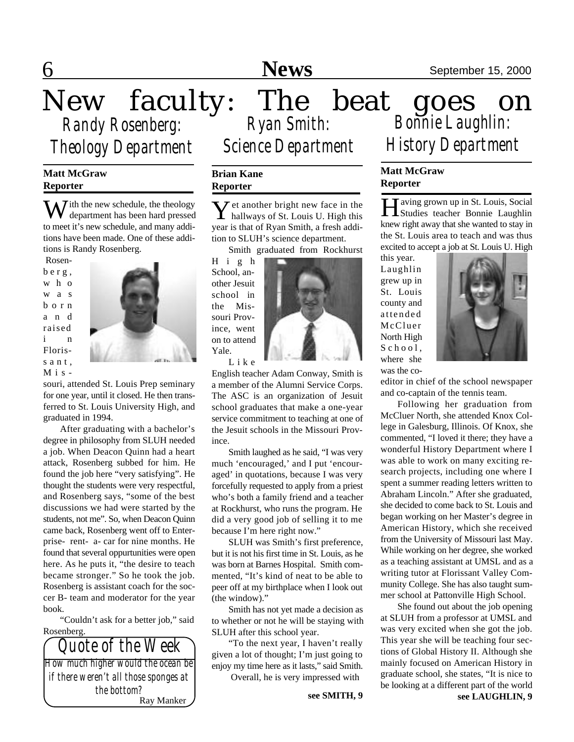New faculty: The beat goes on *Randy Rosenberg: Theology Department*

#### **Matt McGraw Reporter**

With the new schedule, the theology department has been hard pressed to meet it's new schedule, and many additions have been made. One of these additions is Randy Rosenberg.

 Rosenb e r g , w h o w a s b o r n a n d raised i n Floriss a n t.  $M$  i s -



souri, attended St. Louis Prep seminary for one year, until it closed. He then transferred to St. Louis University High, and graduated in 1994.

After graduating with a bachelor's degree in philosophy from SLUH needed a job. When Deacon Quinn had a heart attack, Rosenberg subbed for him. He found the job here "very satisfying". He thought the students were very respectful, and Rosenberg says, "some of the best discussions we had were started by the students, not me". So, when Deacon Quinn came back, Rosenberg went off to Enterprise- rent- a- car for nine months. He found that several oppurtunities were open here. As he puts it, "the desire to teach became stronger." So he took the job. Rosenberg is assistant coach for the soccer B- team and moderator for the year book.

"Couldn't ask for a better job," said Rosenberg.



*Ryan Smith: Bonnie Laughlin: Science Department*

#### **Brian Kane Reporter**

Y hallways of St. Louis U. High this  $\mathcal I$  et another bright new face in the year is that of Ryan Smith, a fresh addition to SLUH's science department.

Smith graduated from Rockhurst

H i g h School, another Jesuit school in the Missouri Province, went on to attend Yale.



L i k e

English teacher Adam Conway, Smith is a member of the Alumni Service Corps. The ASC is an organization of Jesuit school graduates that make a one-year service commitment to teaching at one of the Jesuit schools in the Missouri Province.

Smith laughed as he said, "I was very much 'encouraged,' and I put 'encouraged' in quotations, because I was very forcefully requested to apply from a priest who's both a family friend and a teacher at Rockhurst, who runs the program. He did a very good job of selling it to me because I'm here right now."

SLUH was Smith's first preference, but it is not his first time in St. Louis, as he was born at Barnes Hospital. Smith commented, "It's kind of neat to be able to peer off at my birthplace when I look out (the window)."

Smith has not yet made a decision as to whether or not he will be staying with SLUH after this school year.

"To the next year, I haven't really given a lot of thought; I'm just going to enjoy my time here as it lasts," said Smith. Overall, he is very impressed with

*History Department*

#### **Matt McGraw Reporter**

Having grown up in St. Louis, Social<br>Studies teacher Bonnie Laughlin T aving grown up in St. Louis, Social knew right away that she wanted to stay in the St. Louis area to teach and was thus excited to accept a job at St. Louis U. High

this year. Laughlin grew up in St. Louis county and attended McCluer North High  $S$  c h o o l, where she was the co-



editor in chief of the school newspaper and co-captain of the tennis team.

Following her graduation from McCluer North, she attended Knox College in Galesburg, Illinois. Of Knox, she commented, "I loved it there; they have a wonderful History Department where I was able to work on many exciting research projects, including one where I spent a summer reading letters written to Abraham Lincoln." After she graduated, she decided to come back to St. Louis and began working on her Master's degree in American History, which she received from the University of Missouri last May. While working on her degree, she worked as a teaching assistant at UMSL and as a writing tutor at Florissant Valley Community College. She has also taught summer school at Pattonville High School.

**see SMITH, 9 see LAUGHLIN, 9** She found out about the job opening at SLUH from a professor at UMSL and was very excited when she got the job. This year she will be teaching four sections of Global History II. Although she mainly focused on American History in graduate school, she states, "It is nice to be looking at a different part of the world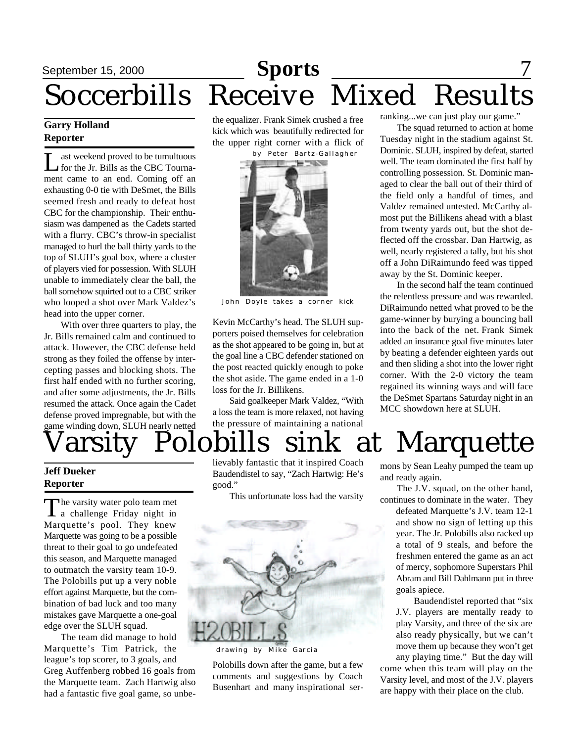# **September 15, 2000 Sports** Soccerbills Receive Mixed Results

#### **Garry Holland Reporter**

L ast weekend proved to be tumultuous for the Jr. Bills as the CBC Tournament came to an end. Coming off an exhausting 0-0 tie with DeSmet, the Bills seemed fresh and ready to defeat host CBC for the championship. Their enthusiasm was dampened as the Cadets started with a flurry. CBC's throw-in specialist managed to hurl the ball thirty yards to the top of SLUH's goal box, where a cluster of players vied for possession. With SLUH unable to immediately clear the ball, the ball somehow squirted out to a CBC striker who looped a shot over Mark Valdez's head into the upper corner.

With over three quarters to play, the Jr. Bills remained calm and continued to attack. However, the CBC defense held strong as they foiled the offense by intercepting passes and blocking shots. The first half ended with no further scoring, and after some adjustments, the Jr. Bills resumed the attack. Once again the Cadet defense proved impregnable, but with the game winding down, SLUH nearly netted the equalizer. Frank Simek crushed a free kick which was beautifully redirected for the upper right corner with a flick of by Peter Bartz-Gallagher



John Doyle takes a corner kick

Kevin McCarthy's head. The SLUH supporters poised themselves for celebration as the shot appeared to be going in, but at the goal line a CBC defender stationed on the post reacted quickly enough to poke the shot aside. The game ended in a 1-0 loss for the Jr. Billikens.

Said goalkeeper Mark Valdez, "With a loss the team is more relaxed, not having the pressure of maintaining a national

ranking...we can just play our game."

The squad returned to action at home Tuesday night in the stadium against St. Dominic. SLUH, inspired by defeat, started well. The team dominated the first half by controlling possession. St. Dominic managed to clear the ball out of their third of the field only a handful of times, and Valdez remained untested. McCarthy almost put the Billikens ahead with a blast from twenty yards out, but the shot deflected off the crossbar. Dan Hartwig, as well, nearly registered a tally, but his shot off a John DiRaimundo feed was tipped away by the St. Dominic keeper.

In the second half the team continued the relentless pressure and was rewarded. DiRaimundo netted what proved to be the game-winner by burying a bouncing ball into the back of the net. Frank Simek added an insurance goal five minutes later by beating a defender eighteen yards out and then sliding a shot into the lower right corner. With the 2-0 victory the team regained its winning ways and will face the DeSmet Spartans Saturday night in an MCC showdown here at SLUH.

# arsity Polobills sink at Marquette

#### **Jeff Dueker Reporter**

The varsity water polo team met<br>a challenge Friday night in he varsity water polo team met Marquette's pool. They knew Marquette was going to be a possible threat to their goal to go undefeated this season, and Marquette managed to outmatch the varsity team 10-9. The Polobills put up a very noble effort against Marquette, but the combination of bad luck and too many mistakes gave Marquette a one-goal edge over the SLUH squad.

The team did manage to hold Marquette's Tim Patrick, the league's top scorer, to 3 goals, and Greg Auffenberg robbed 16 goals from the Marquette team. Zach Hartwig also had a fantastic five goal game, so unbelievably fantastic that it inspired Coach Baudendistel to say, "Zach Hartwig: He's good."

This unfortunate loss had the varsity



drawing by Mike Garcia

Polobills down after the game, but a few comments and suggestions by Coach Busenhart and many inspirational sermons by Sean Leahy pumped the team up and ready again.

The J.V. squad, on the other hand, continues to dominate in the water. They

defeated Marquette's J.V. team 12-1 and show no sign of letting up this year. The Jr. Polobills also racked up a total of 9 steals, and before the freshmen entered the game as an act of mercy, sophomore Superstars Phil Abram and Bill Dahlmann put in three goals apiece.

Baudendistel reported that "six J.V. players are mentally ready to play Varsity, and three of the six are also ready physically, but we can't move them up because they won't get any playing time." But the day will

come when this team will play on the Varsity level, and most of the J.V. players are happy with their place on the club.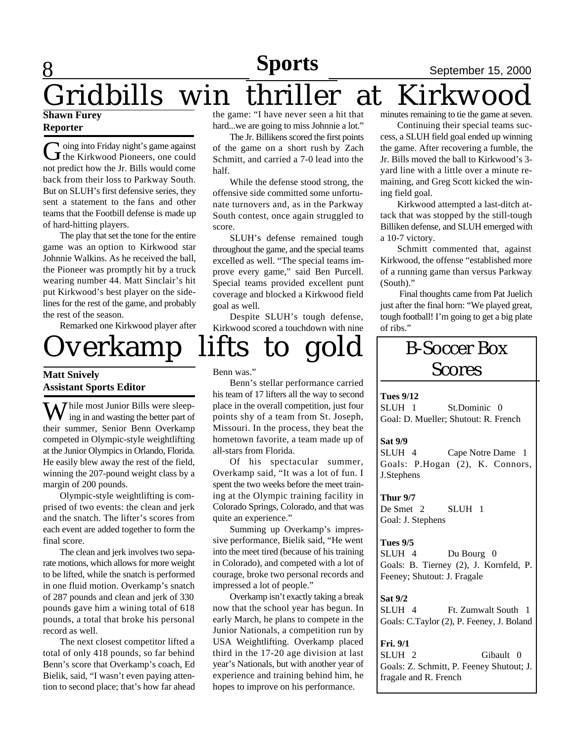### 8 **Sports** September 15, 2000 **Sports**

### Gridbills win thriller at Kirkwood **Shawn Furey Reporter**

G oing into Friday night's game against<br>the Kirkwood Pioneers, one could oing into Friday night's game against not predict how the Jr. Bills would come back from their loss to Parkway South. But on SLUH's first defensive series, they sent a statement to the fans and other teams that the Footbill defense is made up of hard-hitting players.

The play that set the tone for the entire game was an option to Kirkwood star Johnnie Walkins. As he received the ball, the Pioneer was promptly hit by a truck wearing number 44. Matt Sinclair's hit put Kirkwood's best player on the sidelines for the rest of the game, and probably the rest of the season.

Remarked one Kirkwood player after

#### the game: "I have never seen a hit that hard...we are going to miss Johnnie a lot." The Jr. Billikens scored the first points

of the game on a short rush by Zach Schmitt, and carried a 7-0 lead into the half.

While the defense stood strong, the offensive side committed some unfortunate turnovers and, as in the Parkway South contest, once again struggled to score.

SLUH's defense remained tough throughout the game, and the special teams excelled as well. "The special teams improve every game," said Ben Purcell. Special teams provided excellent punt coverage and blocked a Kirkwood field goal as well.

Despite SLUH's tough defense, Kirkwood scored a touchdown with nine



#### **Matt Snively Assistant Sports Editor**

 $\sum$  hile most Junior Bills were sleeping in and wasting the better part of their summer, Senior Benn Overkamp competed in Olympic-style weightlifting at the Junior Olympics in Orlando, Florida. He easily blew away the rest of the field, winning the 207-pound weight class by a margin of 200 pounds.

Olympic-style weightlifting is comprised of two events: the clean and jerk and the snatch. The lifter's scores from each event are added together to form the final score.

The clean and jerk involves two separate motions, which allows for more weight to be lifted, while the snatch is performed in one fluid motion. Overkamp's snatch of 287 pounds and clean and jerk of 330 pounds gave him a wining total of 618 pounds, a total that broke his personal record as well.

The next closest competitor lifted a total of only 418 pounds, so far behind Benn's score that Overkamp's coach, Ed Bielik, said, "I wasn't even paying attention to second place; that's how far ahead Benn was."

Benn's stellar performance carried his team of 17 lifters all the way to second place in the overall competition, just four points shy of a team from St. Joseph, Missouri. In the process, they beat the hometown favorite, a team made up of all-stars from Florida.

Of his spectacular summer, Overkamp said, "It was a lot of fun. I spent the two weeks before the meet training at the Olympic training facility in Colorado Springs, Colorado, and that was quite an experience."

Summing up Overkamp's impressive performance, Bielik said, "He went into the meet tired (because of his training in Colorado), and competed with a lot of courage, broke two personal records and impressed a lot of people."

Overkamp isn't exactly taking a break now that the school year has begun. In early March, he plans to compete in the Junior Nationals, a competition run by USA Weightlifting. Overkamp placed third in the 17-20 age division at last year's Nationals, but with another year of experience and training behind him, he hopes to improve on his performance.

minutes remaining to tie the game at seven.

Continuing their special teams success, a SLUH field goal ended up winning the game. After recovering a fumble, the Jr. Bills moved the ball to Kirkwood's 3 yard line with a little over a minute remaining, and Greg Scott kicked the wining field goal.

Kirkwood attempted a last-ditch attack that was stopped by the still-tough Billiken defense, and SLUH emerged with a 10-7 victory.

Schmitt commented that, against Kirkwood, the offense "established more of a running game than versus Parkway (South)."

 Final thoughts came from Pat Juelich just after the final horn: "We played great, tough football! I'm going to get a big plate of ribs."

## B-Soccer Box Scores

#### **Tues 9/12**

SLUH 1 St.Dominic 0 Goal: D. Mueller; Shutout: R. French

#### **Sat 9/9**

SLUH 4 Cape Notre Dame 1 Goals: P.Hogan (2), K. Connors, J.Stephens

**Thur 9/7** De Smet 2 SLUH 1 Goal: J. Stephens

#### **Tues 9/5**

SLUH 4 Du Bourg 0 Goals: B. Tierney (2), J. Kornfeld, P. Feeney; Shutout: J. Fragale

#### **Sat 9/2**

SLUH 4 Ft. Zumwalt South 1 Goals: C.Taylor (2), P. Feeney, J. Boland

#### **Fri. 9/1**

SLUH 2 Gibault 0 Goals: Z. Schmitt, P. Feeney Shutout; J. fragale and R. French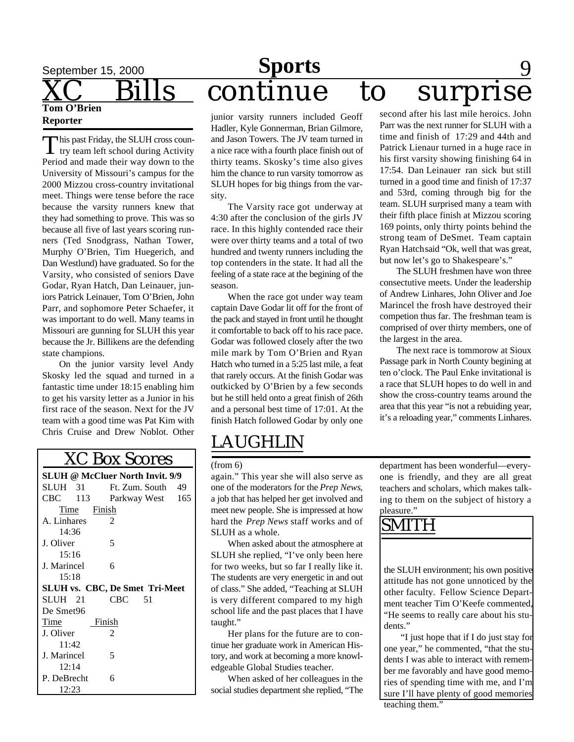# September 15, 2000 **Sports** 9 s continue to surprise

**Tom O'Brien Reporter**

This past Friday, the SLUH cross coun-<br>try team left school during Activity his past Friday, the SLUH cross coun-Period and made their way down to the University of Missouri's campus for the 2000 Mizzou cross-country invitational meet. Things were tense before the race because the varsity runners knew that they had something to prove. This was so because all five of last years scoring runners (Ted Snodgrass, Nathan Tower, Murphy O'Brien, Tim Huegerich, and Dan Westlund) have graduated. So for the Varsity, who consisted of seniors Dave Godar, Ryan Hatch, Dan Leinauer, juniors Patrick Leinauer, Tom O'Brien, John Parr, and sophomore Peter Schaefer, it was important to do well. Many teams in Missouri are gunning for SLUH this year because the Jr. Billikens are the defending state champions.

On the junior varsity level Andy Skosky led the squad and turned in a fantastic time under 18:15 enabling him to get his varsity letter as a Junior in his first race of the season. Next for the JV team with a good time was Pat Kim with Chris Cruise and Drew Noblot. Other

| <b>XC Box Scores</b>                   |                   |  |  |
|----------------------------------------|-------------------|--|--|
| <b>SLUH @ McCluer North Invit. 9/9</b> |                   |  |  |
| SLUH 31                                | Ft. Zum. South 49 |  |  |
| CBC 113                                | Parkway West 165  |  |  |
| Time Finish                            |                   |  |  |
| A. Linhares                            | 2                 |  |  |
| 14:36                                  |                   |  |  |
| J. Oliver                              | 5                 |  |  |
| 15:16                                  |                   |  |  |
| J. Marincel                            | 6                 |  |  |
| 15:18                                  |                   |  |  |
| <b>SLUH vs. CBC, De Smet Tri-Meet</b>  |                   |  |  |
| SLUH 21                                | $CBC$ 51          |  |  |
| De Smet96                              |                   |  |  |
| Time                                   | Finish            |  |  |
| J. Oliver                              | 2                 |  |  |
| 11:42                                  |                   |  |  |
| J. Marincel                            | 5                 |  |  |
| 12:14                                  |                   |  |  |
| P. DeBrecht                            | 6                 |  |  |
| 12:23                                  |                   |  |  |

junior varsity runners included Geoff Hadler, Kyle Gonnerman, Brian Gilmore, and Jason Towers. The JV team turned in a nice race with a fourth place finish out of thirty teams. Skosky's time also gives him the chance to run varsity tomorrow as SLUH hopes for big things from the varsity.

The Varsity race got underway at 4:30 after the conclusion of the girls JV race. In this highly contended race their were over thirty teams and a total of two hundred and twenty runners including the top contenders in the state. It had all the feeling of a state race at the begining of the season.

When the race got under way team captain Dave Godar lit off for the front of the pack and stayed in front until he thought it comfortable to back off to his race pace. Godar was followed closely after the two mile mark by Tom O'Brien and Ryan Hatch who turned in a 5:25 last mile, a feat that rarely occurs. At the finish Godar was outkicked by O'Brien by a few seconds but he still held onto a great finish of 26th and a personal best time of 17:01. At the finish Hatch followed Godar by only one

## LAUGHLIN

#### (from 6)

again." This year she will also serve as one of the moderators for the *Prep News*, a job that has helped her get involved and meet new people. She is impressed at how hard the *Prep News* staff works and of SLUH as a whole.

When asked about the atmosphere at SLUH she replied, "I've only been here for two weeks, but so far I really like it. The students are very energetic in and out of class." She added, "Teaching at SLUH is very different compared to my high school life and the past places that I have taught."

Her plans for the future are to continue her graduate work in American History, and work at becoming a more knowledgeable Global Studies teacher.

When asked of her colleagues in the social studies department she replied, "The

second after his last mile heroics. John Parr was the next runner for SLUH with a time and finish of 17:29 and 44th and Patrick Lienaur turned in a huge race in his first varsity showing finishing 64 in 17:54. Dan Leinauer ran sick but still turned in a good time and finish of 17:37 and 53rd, coming through big for the team. SLUH surprised many a team with their fifth place finish at Mizzou scoring 169 points, only thirty points behind the strong team of DeSmet. Team captain Ryan Hatchsaid "Ok, well that was great, but now let's go to Shakespeare's."

The SLUH freshmen have won three consectutive meets. Under the leadership of Andrew Linhares, John Oliver and Joe Marincel the frosh have destroyed their competion thus far. The freshman team is comprised of over thirty members, one of the largest in the area.

The next race is tommorow at Sioux Passage park in North County begining at ten o'clock. The Paul Enke invitational is a race that SLUH hopes to do well in and show the cross-country teams around the area that this year "is not a rebuiding year, it's a reloading year," comments Linhares.

department has been wonderful—everyone is friendly, and they are all great teachers and scholars, which makes talking to them on the subject of history a pleasure."

## SMITH

the SLUH environment; his own positive attitude has not gone unnoticed by the other faculty. Fellow Science Department teacher Tim O'Keefe commented, "He seems to really care about his students."

"I just hope that if I do just stay for one year," he commented, "that the students I was able to interact with remember me favorably and have good memories of spending time with me, and I'm sure I'll have plenty of good memories teaching them."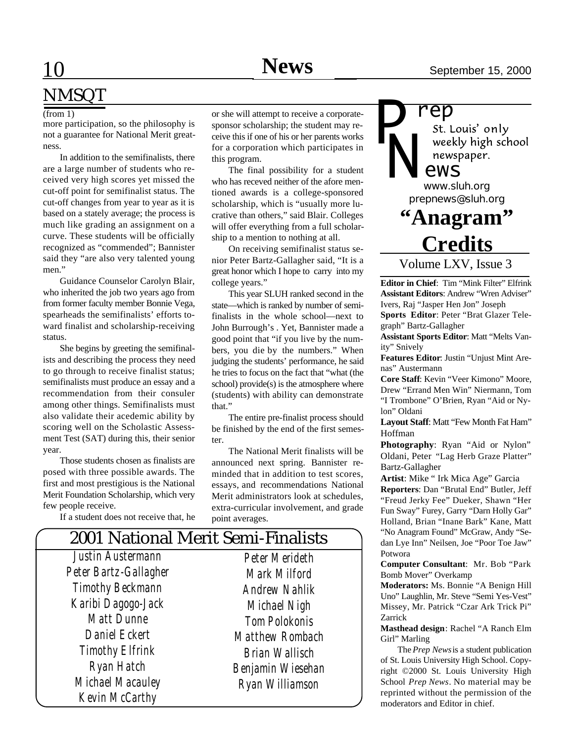# NMSQT

#### (from 1)

more participation, so the philosophy is not a guarantee for National Merit greatness.

In addition to the semifinalists, there are a large number of students who received very high scores yet missed the cut-off point for semifinalist status. The cut-off changes from year to year as it is based on a stately average; the process is much like grading an assignment on a curve. These students will be officially recognized as "commended"; Bannister said they "are also very talented young men."

Guidance Counselor Carolyn Blair, who inherited the job two years ago from from former faculty member Bonnie Vega, spearheads the semifinalists' efforts toward finalist and scholarship-receiving status.

She begins by greeting the semifinalists and describing the process they need to go through to receive finalist status; semifinalists must produce an essay and a recommendation from their consuler among other things. Semifinalists must also validate their acedemic ability by scoring well on the Scholastic Assessment Test (SAT) during this, their senior year.

Those students chosen as finalists are posed with three possible awards. The first and most prestigious is the National Merit Foundation Scholarship, which very few people receive.

If a student does not receive that, he

or she will attempt to receive a corporatesponsor scholarship; the student may receive this if one of his or her parents works for a corporation which participates in this program.

The final possibility for a student who has receved neither of the afore mentioned awards is a college-sponsored scholarship, which is "usually more lucrative than others," said Blair. Colleges will offer everything from a full scholarship to a mention to nothing at all.

On receiving semifinalist status senior Peter Bartz-Gallagher said, "It is a great honor which I hope to carry into my college years."

This year SLUH ranked second in the state—which is ranked by number of semifinalists in the whole school—next to John Burrough's . Yet, Bannister made a good point that "if you live by the numbers, you die by the numbers." When judging the students' performance, he said he tries to focus on the fact that "what (the school) provide(s) is the atmosphere where (students) with ability can demonstrate that."

The entire pre-finalist process should be finished by the end of the first semester.

The National Merit finalists will be announced next spring. Bannister reminded that in addition to test scores, essays, and recommendations National Merit administrators look at schedules, extra-curricular involvement, and grade point averages.

| 2001 National Merit Semi-Finalists |                        |  |  |
|------------------------------------|------------------------|--|--|
| Justin Austermann                  | <b>Peter Merideth</b>  |  |  |
| Peter Bartz-Gallagher              | Mark Milford           |  |  |
| <b>Timothy Beckmann</b>            | <b>Andrew Nahlik</b>   |  |  |
| Karibi Dagogo-Jack                 | Michael Nigh           |  |  |
| <b>Matt Dunne</b>                  | <b>Tom Polokonis</b>   |  |  |
| Daniel Eckert                      | <b>Matthew Rombach</b> |  |  |
| <b>Timothy Elfrink</b>             | <b>Brian Wallisch</b>  |  |  |
| Ryan Hatch                         | Benjamin Wiesehan      |  |  |
| Michael Macauley                   | Ryan Williamson        |  |  |
| Kevin McCarthy                     |                        |  |  |

# *P*

**ep**<br>*st.* Louis' only weekly high school newspaper.

### *ews*

*prepnews@sluh.org N www.sluh.org*

## **"Anagram" Credits**

Volume LXV, Issue 3

**Editor in Chief**: Tim "Mink Filter" Elfrink **Assistant Editors**: Andrew "Wren Adviser" Ivers, Raj "Jasper Hen Jon" Joseph **Sports Editor**: Peter "Brat Glazer Telegraph" Bartz-Gallagher

**Assistant Sports Editor**: Matt "Melts Vanity" Snively

**Features Editor**: Justin "Unjust Mint Arenas" Austermann

**Core Staff**: Kevin "Veer Kimono" Moore, Drew "Errand Men Win" Niermann, Tom "I Trombone" O'Brien, Ryan "Aid or Nylon" Oldani

Layout Staff: Matt "Few Month Fat Ham" Hoffman

**Photography**: Ryan "Aid or Nylon" Oldani, Peter "Lag Herb Graze Platter" Bartz-Gallagher

**Artist**: Mike " Irk Mica Age" Garcia **Reporters**: Dan "Brutal End" Butler, Jeff "Freud Jerky Fee" Dueker, Shawn "Her Fun Sway" Furey, Garry "Darn Holly Gar" Holland, Brian "Inane Bark" Kane, Matt "No Anagram Found" McGraw, Andy "Sedan Lye Inn" Neilsen, Joe "Poor Toe Jaw" Potwora

**Computer Consultant**: Mr. Bob "Park Bomb Mover" Overkamp

**Moderators:** Ms. Bonnie "A Benign Hill Uno" Laughlin, Mr. Steve "Semi Yes-Vest" Missey, Mr. Patrick "Czar Ark Trick Pi" Zarrick

**Masthead design**: Rachel "A Ranch Elm Girl" Marling

The *Prep News* is a student publication of St. Louis University High School. Copyright ©2000 St. Louis University High School *Prep News*. No material may be reprinted without the permission of the moderators and Editor in chief.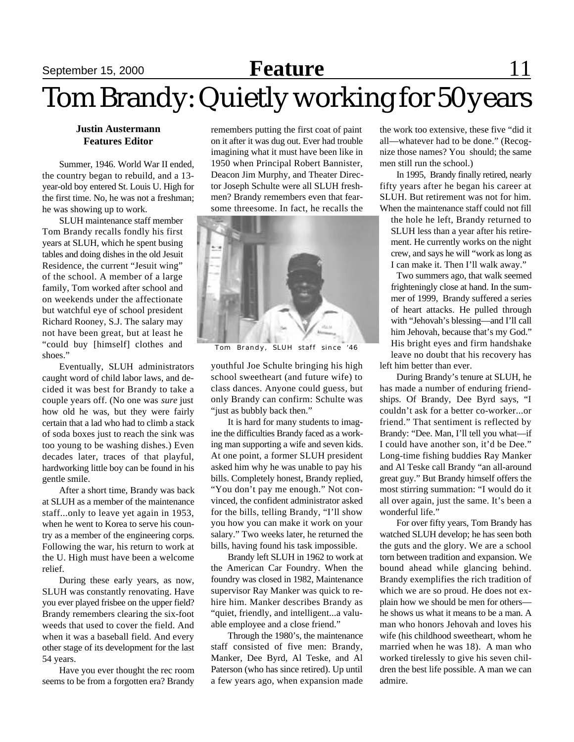## September 15, 2000 **Feature** 11

# Tom Brandy: Quietly working for 50 years

#### **Justin Austermann Features Editor**

Summer, 1946. World War II ended, the country began to rebuild, and a 13 year-old boy entered St. Louis U. High for the first time. No, he was not a freshman; he was showing up to work.

SLUH maintenance staff member Tom Brandy recalls fondly his first years at SLUH, which he spent busing tables and doing dishes in the old Jesuit Residence, the current "Jesuit wing" of the school. A member of a large family, Tom worked after school and on weekends under the affectionate but watchful eye of school president Richard Rooney, S.J. The salary may not have been great, but at least he "could buy [himself] clothes and shoes."

Eventually, SLUH administrators caught word of child labor laws, and decided it was best for Brandy to take a couple years off. (No one was *sure* just how old he was, but they were fairly certain that a lad who had to climb a stack of soda boxes just to reach the sink was too young to be washing dishes.) Even decades later, traces of that playful, hardworking little boy can be found in his gentle smile.

After a short time, Brandy was back at SLUH as a member of the maintenance staff...only to leave yet again in 1953, when he went to Korea to serve his country as a member of the engineering corps. Following the war, his return to work at the U. High must have been a welcome relief.

During these early years, as now, SLUH was constantly renovating. Have you ever played frisbee on the upper field? Brandy remembers clearing the six-foot weeds that used to cover the field. And when it was a baseball field. And every other stage of its development for the last 54 years.

Have you ever thought the rec room seems to be from a forgotten era? Brandy remembers putting the first coat of paint on it after it was dug out. Ever had trouble imagining what it must have been like in 1950 when Principal Robert Bannister, Deacon Jim Murphy, and Theater Director Joseph Schulte were all SLUH freshmen? Brandy remembers even that fearsome threesome. In fact, he recalls the



Tom Brandy, SLUH staff since '46

youthful Joe Schulte bringing his high school sweetheart (and future wife) to class dances. Anyone could guess, but only Brandy can confirm: Schulte was "just as bubbly back then."

It is hard for many students to imagine the difficulties Brandy faced as a working man supporting a wife and seven kids. At one point, a former SLUH president asked him why he was unable to pay his bills. Completely honest, Brandy replied, "You don't pay me enough." Not convinced, the confident administrator asked for the bills, telling Brandy, "I'll show you how you can make it work on your salary." Two weeks later, he returned the bills, having found his task impossible.

Brandy left SLUH in 1962 to work at the American Car Foundry. When the foundry was closed in 1982, Maintenance supervisor Ray Manker was quick to rehire him. Manker describes Brandy as "quiet, friendly, and intelligent...a valuable employee and a close friend."

Through the 1980's, the maintenance staff consisted of five men: Brandy, Manker, Dee Byrd, Al Teske, and Al Paterson (who has since retired). Up until a few years ago, when expansion made

the work too extensive, these five "did it all—whatever had to be done." (Recognize those names? You should; the same men still run the school.)

In 1995, Brandy finally retired, nearly fifty years after he began his career at SLUH. But retirement was not for him. When the maintenance staff could not fill

the hole he left, Brandy returned to SLUH less than a year after his retirement. He currently works on the night crew, and says he will "work as long as I can make it. Then I'll walk away."

Two summers ago, that walk seemed frighteningly close at hand. In the summer of 1999, Brandy suffered a series of heart attacks. He pulled through with "Jehovah's blessing—and I'll call him Jehovah, because that's my God." His bright eyes and firm handshake leave no doubt that his recovery has left him better than ever.

During Brandy's tenure at SLUH, he has made a number of enduring friendships. Of Brandy, Dee Byrd says, "I couldn't ask for a better co-worker...or friend." That sentiment is reflected by Brandy: "Dee. Man, I'll tell you what—if I could have another son, it'd be Dee." Long-time fishing buddies Ray Manker and Al Teske call Brandy "an all-around great guy." But Brandy himself offers the most stirring summation: "I would do it all over again, just the same. It's been a wonderful life."

For over fifty years, Tom Brandy has watched SLUH develop; he has seen both the guts and the glory. We are a school torn between tradition and expansion. We bound ahead while glancing behind. Brandy exemplifies the rich tradition of which we are so proud. He does not explain how we should be men for others he shows us what it means to be a man. A man who honors Jehovah and loves his wife (his childhood sweetheart, whom he married when he was 18). A man who worked tirelessly to give his seven children the best life possible. A man we can admire.